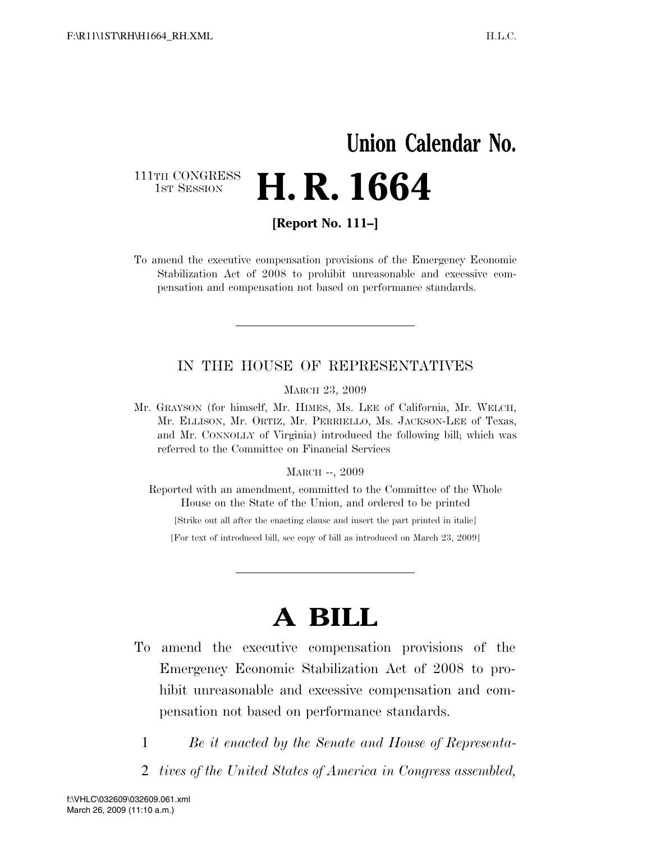# **Union Calendar No.** 111TH CONGRESS<br>1st Session **H. R. 1664**

**[Report No. 111–]** 

To amend the executive compensation provisions of the Emergency Economic Stabilization Act of 2008 to prohibit unreasonable and excessive compensation and compensation not based on performance standards.

### IN THE HOUSE OF REPRESENTATIVES

MARCH 23, 2009

Mr. GRAYSON (for himself, Mr. HIMES, Ms. LEE of California, Mr. WELCH, Mr. ELLISON, Mr. ORTIZ, Mr. PERRIELLO, Ms. JACKSON-LEE of Texas, and Mr. CONNOLLY of Virginia) introduced the following bill; which was referred to the Committee on Financial Services

#### MARCH --, 2009

Reported with an amendment, committed to the Committee of the Whole House on the State of the Union, and ordered to be printed

[Strike out all after the enacting clause and insert the part printed in italic]

[For text of introduced bill, see copy of bill as introduced on March 23, 2009]

# **A BILL**

- To amend the executive compensation provisions of the Emergency Economic Stabilization Act of 2008 to prohibit unreasonable and excessive compensation and compensation not based on performance standards.
	- 1 *Be it enacted by the Senate and House of Representa-*
	- 2 *tives of the United States of America in Congress assembled,*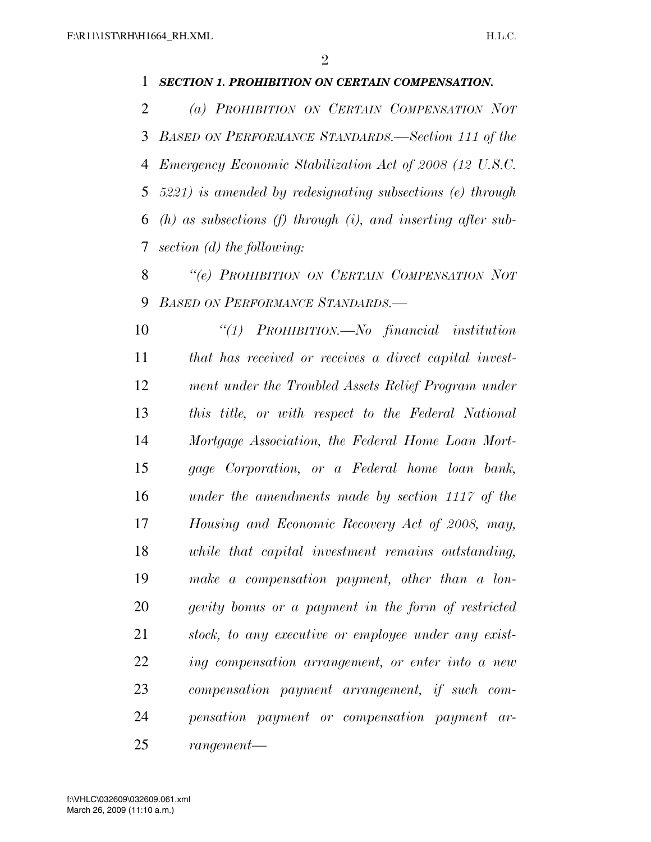### *SECTION 1. PROHIBITION ON CERTAIN COMPENSATION.*

 *(a) PROHIBITION ON CERTAIN COMPENSATION NOT BASED ON PERFORMANCE STANDARDS.—Section 111 of the Emergency Economic Stabilization Act of 2008 (12 U.S.C. 5221) is amended by redesignating subsections (e) through (h) as subsections (f) through (i), and inserting after sub-section (d) the following:* 

 *''(e) PROHIBITION ON CERTAIN COMPENSATION NOT BASED ON PERFORMANCE STANDARDS.—*

 *''(1) PROHIBITION.—No financial institution that has received or receives a direct capital invest- ment under the Troubled Assets Relief Program under this title, or with respect to the Federal National Mortgage Association, the Federal Home Loan Mort- gage Corporation, or a Federal home loan bank, under the amendments made by section 1117 of the Housing and Economic Recovery Act of 2008, may, while that capital investment remains outstanding, make a compensation payment, other than a lon- gevity bonus or a payment in the form of restricted stock, to any executive or employee under any exist- ing compensation arrangement, or enter into a new compensation payment arrangement, if such com- pensation payment or compensation payment ar-rangement—*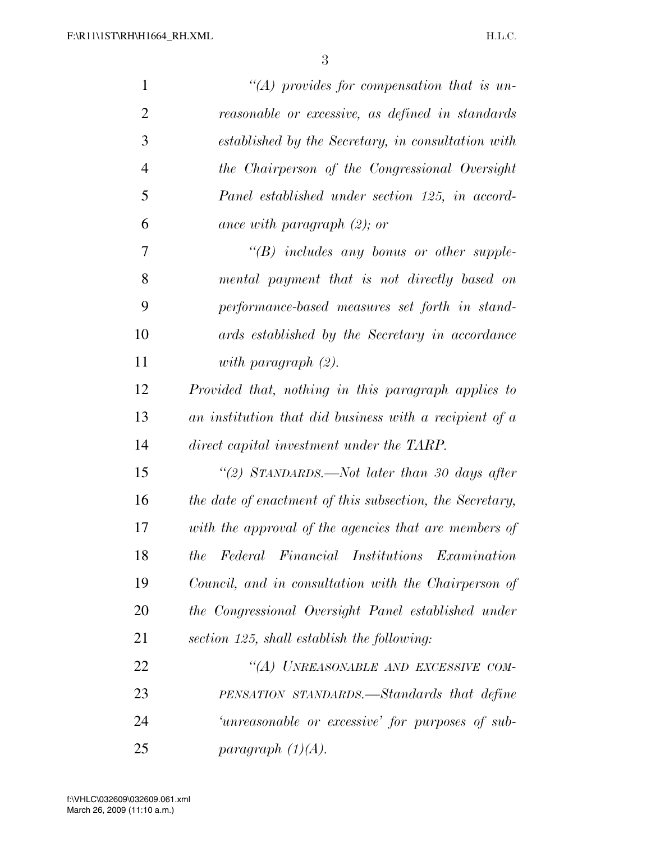| $\mathbf{1}$   | $\lq (A)$ provides for compensation that is un-          |
|----------------|----------------------------------------------------------|
| $\overline{2}$ | reasonable or excessive, as defined in standards         |
| 3              | established by the Secretary, in consultation with       |
| $\overline{4}$ | the Chairperson of the Congressional Oversight           |
| 5              | Panel established under section 125, in accord-          |
| 6              | ance with paragraph $(2)$ ; or                           |
| 7              | $\lq\lq B$ includes any bonus or other supple-           |
| 8              | mental payment that is not directly based on             |
| 9              | performance-based measures set forth in stand-           |
| 10             | ards established by the Secretary in accordance          |
| 11             | with paragraph $(2)$ .                                   |
| 12             | Provided that, nothing in this paragraph applies to      |
| 13             | an institution that did business with a recipient of a   |
| 14             | direct capital investment under the TARP.                |
| 15             | "(2) STANDARDS.—Not later than 30 days after             |
| 16             | the date of enactment of this subsection, the Secretary, |
| 17             | with the approval of the agencies that are members of    |
| 18             | the Federal Financial Institutions Examination           |
| 19             | Council, and in consultation with the Chairperson of     |
| 20             | the Congressional Oversight Panel established under      |
| 21             | section 125, shall establish the following:              |
| 22             | "(A) UNREASONABLE AND EXCESSIVE COM-                     |
| 23             | PENSATION STANDARDS.—Standards that define               |
| 24             | 'unreasonable or excessive' for purposes of sub-         |
| 25             | paragraph $(1)(A)$ .                                     |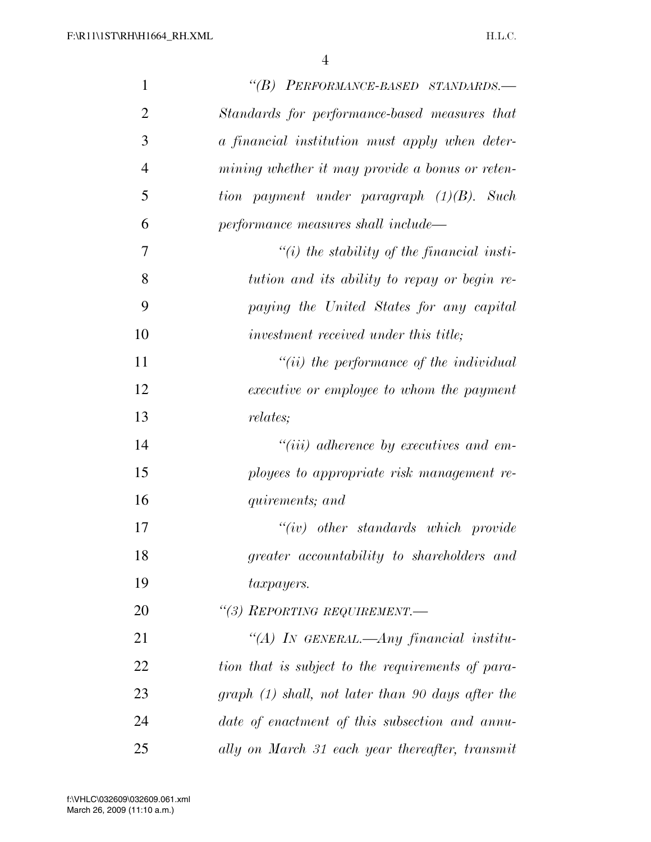| $\mathbf{1}$   | "(B) PERFORMANCE-BASED STANDARDS.-                |
|----------------|---------------------------------------------------|
| $\overline{2}$ | Standards for performance-based measures that     |
| 3              | a financial institution must apply when deter-    |
| $\overline{4}$ | mining whether it may provide a bonus or reten-   |
| 5              | tion payment under paragraph $(1)(B)$ . Such      |
| 6              | performance measures shall include—               |
| 7              | $\lq\lq(i)$ the stability of the financial insti- |
| 8              | tution and its ability to repay or begin re-      |
| 9              | paying the United States for any capital          |
| 10             | investment received under this title;             |
| 11             | $``(ii)$ the performance of the individual        |
| 12             | executive or employee to whom the payment         |
| 13             | <i>relates;</i>                                   |
| 14             | $``(iii)$ adherence by executives and em-         |
| 15             | ployees to appropriate risk management re-        |
| 16             | quirements; and                                   |
| 17             | $``(iv)$ other standards which provide            |
| 18             | greater accountability to shareholders and        |
| 19             | <i>taxpayers.</i>                                 |
| 20             | "(3) REPORTING REQUIREMENT.-                      |
| 21             | "(A) In GENERAL.—Any financial institu-           |
| 22             | tion that is subject to the requirements of para- |
| 23             | graph (1) shall, not later than 90 days after the |
| 24             | date of enactment of this subsection and annu-    |
| 25             | ally on March 31 each year thereafter, transmit   |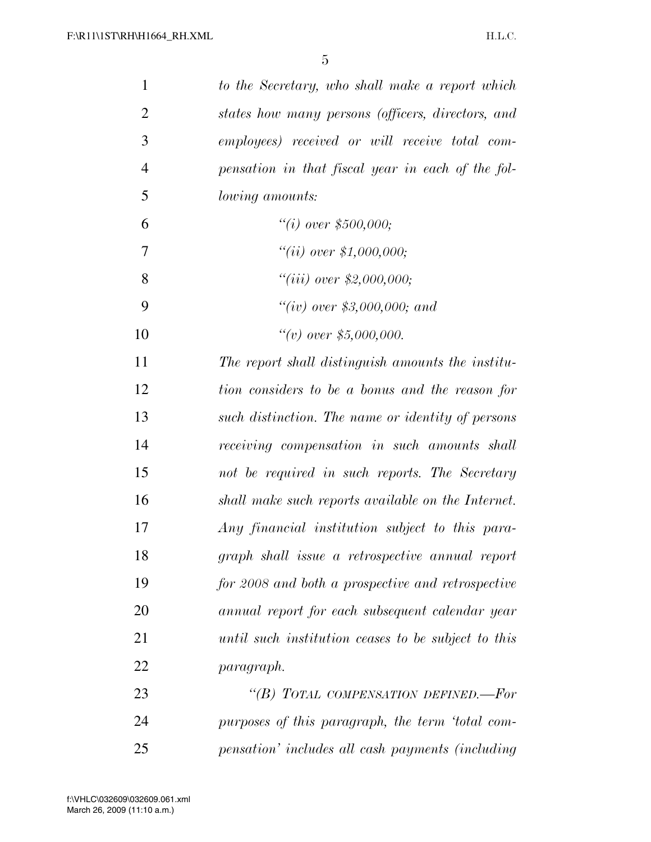| $\mathbf{1}$   | to the Secretary, who shall make a report which     |
|----------------|-----------------------------------------------------|
| $\overline{2}$ | states how many persons (officers, directors, and   |
| 3              | employees) received or will receive total com-      |
| $\overline{4}$ | pensation in that fiscal year in each of the fol-   |
| 5              | <i>lowing amounts:</i>                              |
| 6              | "(i) over $$500,000;$                               |
| 7              | ``(ii) over \$1,000,000;                            |
| 8              | ``(iii) over \$2,000,000;                           |
| 9              | "(iv) over \$3,000,000; and                         |
| 10             | ``(v) over \$5,000,000.                             |
| 11             | The report shall distinguish amounts the institu-   |
| 12             | tion considers to be a bonus and the reason for     |
| 13             | such distinction. The name or identity of persons   |
| 14             | receiving compensation in such amounts shall        |
| 15             | not be required in such reports. The Secretary      |
| 16             | shall make such reports available on the Internet.  |
| 17             | Any financial institution subject to this para-     |
| 18             | graph shall issue a retrospective annual report     |
| 19             | for 2008 and both a prospective and retrospective   |
| 20             | annual report for each subsequent calendar year     |
| 21             | until such institution ceases to be subject to this |
| 22             | paragraph.                                          |
| 23             | "(B) TOTAL COMPENSATION DEFINED.—For                |
| 24             | purposes of this paragraph, the term 'total com-    |
| 25             | pensation' includes all cash payments (including    |